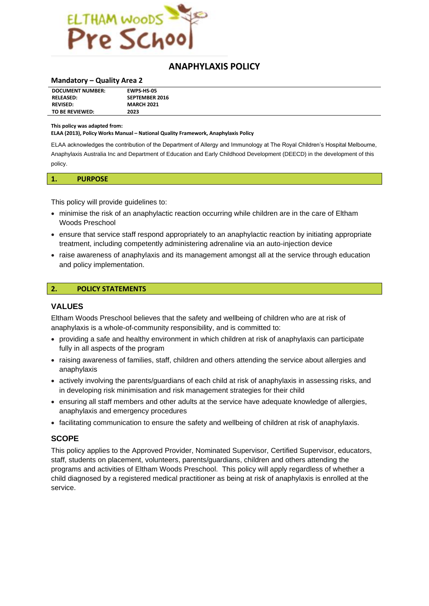

## **ANAPHYLAXIS POLICY**

#### **Mandatory – Quality Area 2**

| <b>DOCUMENT NUMBER:</b> | <b>EWPS HS-05</b>     |
|-------------------------|-----------------------|
| <b>RELEASED:</b>        | <b>SEPTEMBER 2016</b> |
| <b>REVISED:</b>         | <b>MARCH 2021</b>     |
| TO BE REVIEWED:         | 2023                  |

#### **This policy was adapted from:**

**ELAA (2013), Policy Works Manual – National Quality Framework, Anaphylaxis Policy**

ELAA acknowledges the contribution of the Department of Allergy and Immunology at The Royal Children's Hospital Melbourne, Anaphylaxis Australia Inc and Department of Education and Early Childhood Development (DEECD) in the development of this policy.

| <b>DURPOSE</b><br><b>UIN UJL</b><br>. |  |  |  |  |
|---------------------------------------|--|--|--|--|
|---------------------------------------|--|--|--|--|

This policy will provide guidelines to:

- minimise the risk of an anaphylactic reaction occurring while children are in the care of Eltham Woods Preschool
- ensure that service staff respond appropriately to an anaphylactic reaction by initiating appropriate treatment, including competently administering adrenaline via an auto-injection device
- raise awareness of anaphylaxis and its management amongst all at the service through education and policy implementation.

#### **2. POLICY STATEMENTS**

#### **VALUES**

Eltham Woods Preschool believes that the safety and wellbeing of children who are at risk of anaphylaxis is a whole-of-community responsibility, and is committed to:

- providing a safe and healthy environment in which children at risk of anaphylaxis can participate fully in all aspects of the program
- raising awareness of families, staff, children and others attending the service about allergies and anaphylaxis
- actively involving the parents/guardians of each child at risk of anaphylaxis in assessing risks, and in developing risk minimisation and risk management strategies for their child
- ensuring all staff members and other adults at the service have adequate knowledge of allergies, anaphylaxis and emergency procedures
- facilitating communication to ensure the safety and wellbeing of children at risk of anaphylaxis.

#### **SCOPE**

This policy applies to the Approved Provider, Nominated Supervisor, Certified Supervisor, educators, staff, students on placement, volunteers, parents/guardians, children and others attending the programs and activities of Eltham Woods Preschool. This policy will apply regardless of whether a child diagnosed by a registered medical practitioner as being at risk of anaphylaxis is enrolled at the service.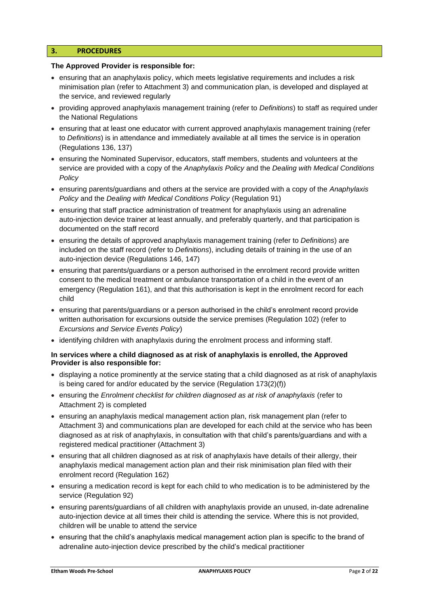#### **3. PROCEDURES**

#### **The Approved Provider is responsible for:**

- ensuring that an anaphylaxis policy, which meets legislative requirements and includes a risk minimisation plan (refer to Attachment 3) and communication plan, is developed and displayed at the service, and reviewed regularly
- providing approved anaphylaxis management training (refer to *Definitions*) to staff as required under the National Regulations
- ensuring that at least one educator with current approved anaphylaxis management training (refer to *Definitions*) is in attendance and immediately available at all times the service is in operation (Regulations 136, 137)
- ensuring the Nominated Supervisor, educators, staff members, students and volunteers at the service are provided with a copy of the *Anaphylaxis Policy* and the *Dealing with Medical Conditions Policy*
- ensuring parents/guardians and others at the service are provided with a copy of the *Anaphylaxis Policy* and the *Dealing with Medical Conditions Policy* (Regulation 91)
- ensuring that staff practice administration of treatment for anaphylaxis using an adrenaline auto-injection device trainer at least annually, and preferably quarterly, and that participation is documented on the staff record
- ensuring the details of approved anaphylaxis management training (refer to *Definitions*) are included on the staff record (refer to *Definitions*), including details of training in the use of an auto-injection device (Regulations 146, 147)
- ensuring that parents/guardians or a person authorised in the enrolment record provide written consent to the medical treatment or ambulance transportation of a child in the event of an emergency (Regulation 161), and that this authorisation is kept in the enrolment record for each child
- ensuring that parents/guardians or a person authorised in the child's enrolment record provide written authorisation for excursions outside the service premises (Regulation 102) (refer to *Excursions and Service Events Policy*)
- identifying children with anaphylaxis during the enrolment process and informing staff.

#### **In services where a child diagnosed as at risk of anaphylaxis is enrolled, the Approved Provider is also responsible for:**

- displaying a notice prominently at the service stating that a child diagnosed as at risk of anaphylaxis is being cared for and/or educated by the service (Regulation 173(2)(f))
- ensuring the *Enrolment checklist for children diagnosed as at risk of anaphylaxis* (refer to Attachment 2) is completed
- ensuring an anaphylaxis medical management action plan, risk management plan (refer to Attachment 3) and communications plan are developed for each child at the service who has been diagnosed as at risk of anaphylaxis, in consultation with that child's parents/guardians and with a registered medical practitioner (Attachment 3)
- ensuring that all children diagnosed as at risk of anaphylaxis have details of their allergy, their anaphylaxis medical management action plan and their risk minimisation plan filed with their enrolment record (Regulation 162)
- ensuring a medication record is kept for each child to who medication is to be administered by the service (Regulation 92)
- ensuring parents/guardians of all children with anaphylaxis provide an unused, in-date adrenaline auto-injection device at all times their child is attending the service. Where this is not provided, children will be unable to attend the service
- ensuring that the child's anaphylaxis medical management action plan is specific to the brand of adrenaline auto-injection device prescribed by the child's medical practitioner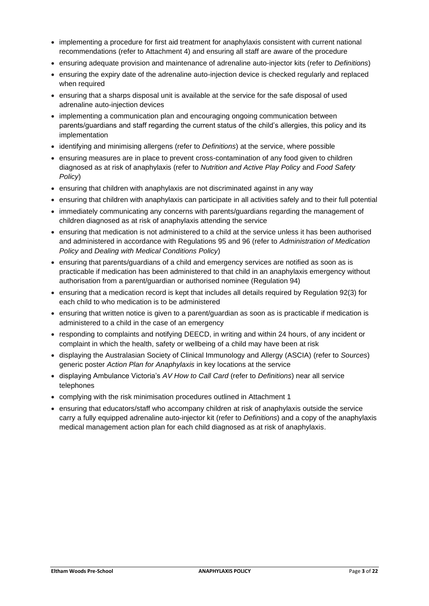- implementing a procedure for first aid treatment for anaphylaxis consistent with current national recommendations (refer to Attachment 4) and ensuring all staff are aware of the procedure
- ensuring adequate provision and maintenance of adrenaline auto-injector kits (refer to *Definitions*)
- ensuring the expiry date of the adrenaline auto-injection device is checked regularly and replaced when required
- ensuring that a sharps disposal unit is available at the service for the safe disposal of used adrenaline auto-injection devices
- implementing a communication plan and encouraging ongoing communication between parents/guardians and staff regarding the current status of the child's allergies, this policy and its implementation
- identifying and minimising allergens (refer to *Definitions*) at the service, where possible
- ensuring measures are in place to prevent cross-contamination of any food given to children diagnosed as at risk of anaphylaxis (refer to *Nutrition and Active Play Policy* and *Food Safety Policy*)
- ensuring that children with anaphylaxis are not discriminated against in any way
- ensuring that children with anaphylaxis can participate in all activities safely and to their full potential
- immediately communicating any concerns with parents/guardians regarding the management of children diagnosed as at risk of anaphylaxis attending the service
- ensuring that medication is not administered to a child at the service unless it has been authorised and administered in accordance with Regulations 95 and 96 (refer to *Administration of Medication Policy* and *Dealing with Medical Conditions Policy*)
- ensuring that parents/guardians of a child and emergency services are notified as soon as is practicable if medication has been administered to that child in an anaphylaxis emergency without authorisation from a parent/guardian or authorised nominee (Regulation 94)
- ensuring that a medication record is kept that includes all details required by Regulation 92(3) for each child to who medication is to be administered
- ensuring that written notice is given to a parent/guardian as soon as is practicable if medication is administered to a child in the case of an emergency
- responding to complaints and notifying DEECD, in writing and within 24 hours, of any incident or complaint in which the health, safety or wellbeing of a child may have been at risk
- displaying the Australasian Society of Clinical Immunology and Allergy (ASCIA) (refer to *Sources*) generic poster *Action Plan for Anaphylaxis* in key locations at the service
- displaying Ambulance Victoria's *AV How to Call Card* (refer to *Definitions*) near all service telephones
- complying with the risk minimisation procedures outlined in Attachment 1
- ensuring that educators/staff who accompany children at risk of anaphylaxis outside the service carry a fully equipped adrenaline auto-injector kit (refer to *Definitions*) and a copy of the anaphylaxis medical management action plan for each child diagnosed as at risk of anaphylaxis.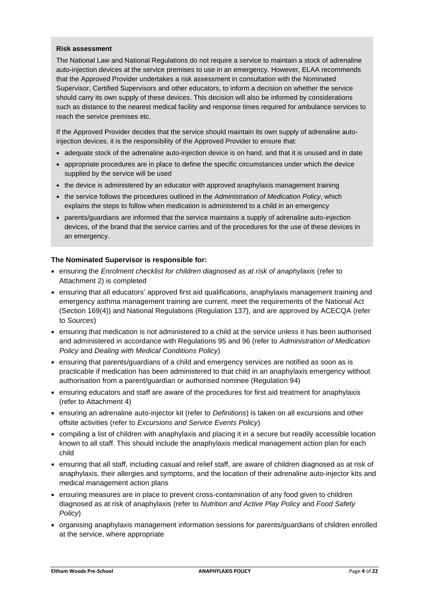#### **Risk assessment**

The National Law and National Regulations do not require a service to maintain a stock of adrenaline auto-injection devices at the service premises to use in an emergency. However, ELAA recommends that the Approved Provider undertakes a risk assessment in consultation with the Nominated Supervisor, Certified Supervisors and other educators, to inform a decision on whether the service should carry its own supply of these devices. This decision will also be informed by considerations such as distance to the nearest medical facility and response times required for ambulance services to reach the service premises etc.

If the Approved Provider decides that the service should maintain its own supply of adrenaline autoinjection devices, it is the responsibility of the Approved Provider to ensure that:

- adequate stock of the adrenaline auto-injection device is on hand, and that it is unused and in date
- appropriate procedures are in place to define the specific circumstances under which the device supplied by the service will be used
- the device is administered by an educator with approved anaphylaxis management training
- the service follows the procedures outlined in the *Administration of Medication Policy*, which explains the steps to follow when medication is administered to a child in an emergency
- parents/guardians are informed that the service maintains a supply of adrenaline auto-injection devices, of the brand that the service carries and of the procedures for the use of these devices in an emergency.

#### **The Nominated Supervisor is responsible for:**

- ensuring the *Enrolment checklist for children diagnosed as at risk of anaphylaxis* (refer to Attachment 2) is completed
- ensuring that all educators' approved first aid qualifications, anaphylaxis management training and emergency asthma management training are current, meet the requirements of the National Act (Section 169(4)) and National Regulations (Regulation 137), and are approved by ACECQA (refer to *Sources*)
- ensuring that medication is not administered to a child at the service unless it has been authorised and administered in accordance with Regulations 95 and 96 (refer to *Administration of Medication Policy* and *Dealing with Medical Conditions Policy*)
- ensuring that parents/guardians of a child and emergency services are notified as soon as is practicable if medication has been administered to that child in an anaphylaxis emergency without authorisation from a parent/guardian or authorised nominee (Regulation 94)
- ensuring educators and staff are aware of the procedures for first aid treatment for anaphylaxis (refer to Attachment 4)
- ensuring an adrenaline auto-injector kit (refer to *Definitions*) is taken on all excursions and other offsite activities (refer to *Excursions and Service Events Policy*)
- compiling a list of children with anaphylaxis and placing it in a secure but readily accessible location known to all staff. This should include the anaphylaxis medical management action plan for each child
- ensuring that all staff, including casual and relief staff, are aware of children diagnosed as at risk of anaphylaxis, their allergies and symptoms, and the location of their adrenaline auto-injector kits and medical management action plans
- ensuring measures are in place to prevent cross-contamination of any food given to children diagnosed as at risk of anaphylaxis (refer to *Nutrition and Active Play Policy* and *Food Safety Policy*)
- organising anaphylaxis management information sessions for parents/guardians of children enrolled at the service, where appropriate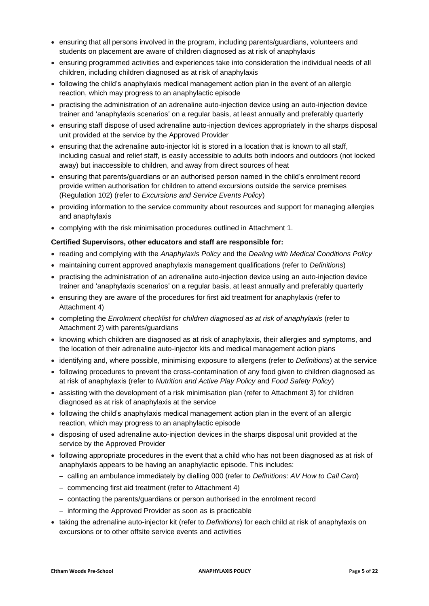- ensuring that all persons involved in the program, including parents/guardians, volunteers and students on placement are aware of children diagnosed as at risk of anaphylaxis
- ensuring programmed activities and experiences take into consideration the individual needs of all children, including children diagnosed as at risk of anaphylaxis
- following the child's anaphylaxis medical management action plan in the event of an allergic reaction, which may progress to an anaphylactic episode
- practising the administration of an adrenaline auto-injection device using an auto-injection device trainer and 'anaphylaxis scenarios' on a regular basis, at least annually and preferably quarterly
- ensuring staff dispose of used adrenaline auto-injection devices appropriately in the sharps disposal unit provided at the service by the Approved Provider
- ensuring that the adrenaline auto-injector kit is stored in a location that is known to all staff, including casual and relief staff, is easily accessible to adults both indoors and outdoors (not locked away) but inaccessible to children, and away from direct sources of heat
- ensuring that parents/guardians or an authorised person named in the child's enrolment record provide written authorisation for children to attend excursions outside the service premises (Regulation 102) (refer to *Excursions and Service Events Policy*)
- providing information to the service community about resources and support for managing allergies and anaphylaxis
- complying with the risk minimisation procedures outlined in Attachment 1.

#### **Certified Supervisors, other educators and staff are responsible for:**

- reading and complying with the *Anaphylaxis Policy* and the *Dealing with Medical Conditions Policy*
- maintaining current approved anaphylaxis management qualifications (refer to *Definitions*)
- practising the administration of an adrenaline auto-injection device using an auto-injection device trainer and 'anaphylaxis scenarios' on a regular basis, at least annually and preferably quarterly
- ensuring they are aware of the procedures for first aid treatment for anaphylaxis (refer to Attachment 4)
- completing the *Enrolment checklist for children diagnosed as at risk of anaphylaxis* (refer to Attachment 2) with parents/guardians
- knowing which children are diagnosed as at risk of anaphylaxis, their allergies and symptoms, and the location of their adrenaline auto-injector kits and medical management action plans
- identifying and, where possible, minimising exposure to allergens (refer to *Definitions*) at the service
- following procedures to prevent the cross-contamination of any food given to children diagnosed as at risk of anaphylaxis (refer to *Nutrition and Active Play Policy* and *Food Safety Policy*)
- assisting with the development of a risk minimisation plan (refer to Attachment 3) for children diagnosed as at risk of anaphylaxis at the service
- following the child's anaphylaxis medical management action plan in the event of an allergic reaction, which may progress to an anaphylactic episode
- disposing of used adrenaline auto-injection devices in the sharps disposal unit provided at the service by the Approved Provider
- following appropriate procedures in the event that a child who has not been diagnosed as at risk of anaphylaxis appears to be having an anaphylactic episode. This includes:
	- − calling an ambulance immediately by dialling 000 (refer to *Definitions*: *AV How to Call Card*)
	- − commencing first aid treatment (refer to Attachment 4)
	- − contacting the parents/guardians or person authorised in the enrolment record
	- − informing the Approved Provider as soon as is practicable
- taking the adrenaline auto-injector kit (refer to *Definitions*) for each child at risk of anaphylaxis on excursions or to other offsite service events and activities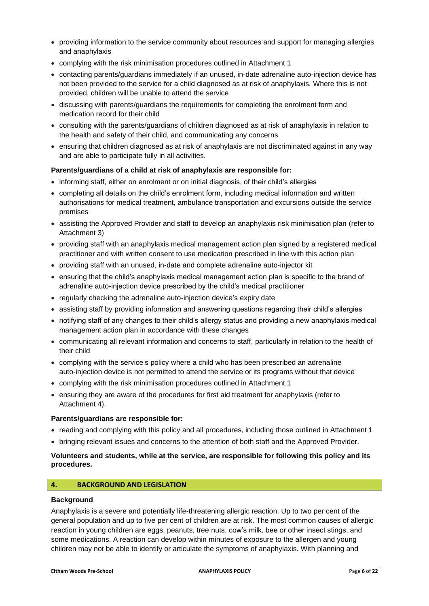- providing information to the service community about resources and support for managing allergies and anaphylaxis
- complying with the risk minimisation procedures outlined in Attachment 1
- contacting parents/guardians immediately if an unused, in-date adrenaline auto-injection device has not been provided to the service for a child diagnosed as at risk of anaphylaxis. Where this is not provided, children will be unable to attend the service
- discussing with parents/guardians the requirements for completing the enrolment form and medication record for their child
- consulting with the parents/guardians of children diagnosed as at risk of anaphylaxis in relation to the health and safety of their child, and communicating any concerns
- ensuring that children diagnosed as at risk of anaphylaxis are not discriminated against in any way and are able to participate fully in all activities.

#### **Parents/guardians of a child at risk of anaphylaxis are responsible for:**

- informing staff, either on enrolment or on initial diagnosis, of their child's allergies
- completing all details on the child's enrolment form, including medical information and written authorisations for medical treatment, ambulance transportation and excursions outside the service premises
- assisting the Approved Provider and staff to develop an anaphylaxis risk minimisation plan (refer to Attachment 3)
- providing staff with an anaphylaxis medical management action plan signed by a registered medical practitioner and with written consent to use medication prescribed in line with this action plan
- providing staff with an unused, in-date and complete adrenaline auto-injector kit
- ensuring that the child's anaphylaxis medical management action plan is specific to the brand of adrenaline auto-injection device prescribed by the child's medical practitioner
- regularly checking the adrenaline auto-injection device's expiry date
- assisting staff by providing information and answering questions regarding their child's allergies
- notifying staff of any changes to their child's allergy status and providing a new anaphylaxis medical management action plan in accordance with these changes
- communicating all relevant information and concerns to staff, particularly in relation to the health of their child
- complying with the service's policy where a child who has been prescribed an adrenaline auto-injection device is not permitted to attend the service or its programs without that device
- complying with the risk minimisation procedures outlined in Attachment 1
- ensuring they are aware of the procedures for first aid treatment for anaphylaxis (refer to Attachment 4).

#### **Parents/guardians are responsible for:**

- reading and complying with this policy and all procedures, including those outlined in Attachment 1
- bringing relevant issues and concerns to the attention of both staff and the Approved Provider.

#### **Volunteers and students, while at the service, are responsible for following this policy and its procedures.**

#### **4. BACKGROUND AND LEGISLATION**

## **Background**

Anaphylaxis is a severe and potentially life-threatening allergic reaction. Up to two per cent of the general population and up to five per cent of children are at risk. The most common causes of allergic reaction in young children are eggs, peanuts, tree nuts, cow's milk, bee or other insect stings, and some medications. A reaction can develop within minutes of exposure to the allergen and young children may not be able to identify or articulate the symptoms of anaphylaxis. With planning and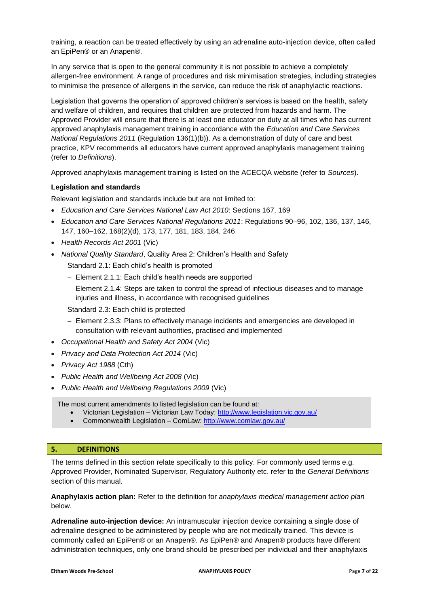training, a reaction can be treated effectively by using an adrenaline auto-injection device, often called an EpiPen® or an Anapen®.

In any service that is open to the general community it is not possible to achieve a completely allergen-free environment. A range of procedures and risk minimisation strategies, including strategies to minimise the presence of allergens in the service, can reduce the risk of anaphylactic reactions.

Legislation that governs the operation of approved children's services is based on the health, safety and welfare of children, and requires that children are protected from hazards and harm. The Approved Provider will ensure that there is at least one educator on duty at all times who has current approved anaphylaxis management training in accordance with the *Education and Care Services National Regulations 2011* (Regulation 136(1)(b)). As a demonstration of duty of care and best practice, KPV recommends all educators have current approved anaphylaxis management training (refer to *Definitions*).

Approved anaphylaxis management training is listed on the ACECQA website (refer to *Sources*).

### **Legislation and standards**

Relevant legislation and standards include but are not limited to:

- *Education and Care Services National Law Act 2010*: Sections 167, 169
- *Education and Care Services National Regulations 2011*: Regulations 90–96, 102, 136, 137, 146, 147, 160–162, 168(2)(d), 173, 177, 181, 183, 184, 246
- *Health Records Act 2001* (Vic)
- *National Quality Standard*, Quality Area 2: Children's Health and Safety
	- − Standard 2.1: Each child's health is promoted
		- − Element 2.1.1: Each child's health needs are supported
		- − Element 2.1.4: Steps are taken to control the spread of infectious diseases and to manage injuries and illness, in accordance with recognised guidelines
	- − Standard 2.3: Each child is protected
		- − Element 2.3.3: Plans to effectively manage incidents and emergencies are developed in consultation with relevant authorities, practised and implemented
- *Occupational Health and Safety Act 2004* (Vic)
- *Privacy and Data Protection Act 2014* (Vic)
- *Privacy Act 1988* (Cth)
- *Public Health and Wellbeing Act 2008* (Vic)
- *Public Health and Wellbeing Regulations 2009* (Vic)

The most current amendments to listed legislation can be found at:

- Victorian Legislation Victorian Law Today:<http://www.legislation.vic.gov.au/>
- Commonwealth Legislation ComLaw:<http://www.comlaw.gov.au/>

#### **5. DEFINITIONS**

The terms defined in this section relate specifically to this policy. For commonly used terms e.g. Approved Provider, Nominated Supervisor, Regulatory Authority etc. refer to the *General Definitions* section of this manual.

**Anaphylaxis action plan:** Refer to the definition for *anaphylaxis medical management action plan* below.

**Adrenaline auto-injection device:** An intramuscular injection device containing a single dose of adrenaline designed to be administered by people who are not medically trained. This device is commonly called an EpiPen® or an Anapen®. As EpiPen® and Anapen® products have different administration techniques, only one brand should be prescribed per individual and their anaphylaxis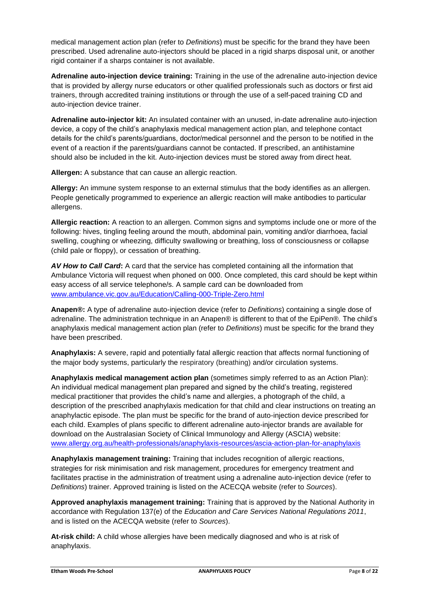medical management action plan (refer to *Definitions*) must be specific for the brand they have been prescribed. Used adrenaline auto-injectors should be placed in a rigid sharps disposal unit, or another rigid container if a sharps container is not available.

**Adrenaline auto-injection device training:** Training in the use of the adrenaline auto-injection device that is provided by allergy nurse educators or other qualified professionals such as doctors or first aid trainers, through accredited training institutions or through the use of a self-paced training CD and auto-injection device trainer.

**Adrenaline auto-injector kit:** An insulated container with an unused, in-date adrenaline auto-injection device, a copy of the child's anaphylaxis medical management action plan, and telephone contact details for the child's parents/guardians, doctor/medical personnel and the person to be notified in the event of a reaction if the parents/guardians cannot be contacted. If prescribed, an antihistamine should also be included in the kit. Auto-injection devices must be stored away from direct heat.

**Allergen:** A substance that can cause an allergic reaction.

**Allergy:** An immune system response to an external stimulus that the body identifies as an allergen. People genetically programmed to experience an allergic reaction will make antibodies to particular allergens.

**Allergic reaction:** A reaction to an allergen. Common signs and symptoms include one or more of the following: hives, tingling feeling around the mouth, abdominal pain, vomiting and/or diarrhoea, facial swelling, coughing or wheezing, difficulty swallowing or breathing, loss of consciousness or collapse (child pale or floppy), or cessation of breathing.

*AV How to Call Card***:** A card that the service has completed containing all the information that Ambulance Victoria will request when phoned on 000. Once completed, this card should be kept within easy access of all service telephone/s. A sample card can be downloaded from [www.ambulance.vic.gov.au/Education/Calling-000-Triple-Zero.html](http://www.ambulance.vic.gov.au/Education/Calling-000-Triple-Zero.html)

**Anapen®:** A type of adrenaline auto-injection device (refer to *Definitions*) containing a single dose of adrenaline. The administration technique in an Anapen® is different to that of the EpiPen®. The child's anaphylaxis medical management action plan (refer to *Definitions*) must be specific for the brand they have been prescribed.

**Anaphylaxis:** A severe, rapid and potentially fatal allergic reaction that affects normal functioning of the major body systems, particularly the respiratory (breathing) and/or circulation systems.

**Anaphylaxis medical management action plan** (sometimes simply referred to as an Action Plan): An individual medical management plan prepared and signed by the child's treating, registered medical practitioner that provides the child's name and allergies, a photograph of the child, a description of the prescribed anaphylaxis medication for that child and clear instructions on treating an anaphylactic episode. The plan must be specific for the brand of auto-injection device prescribed for each child. Examples of plans specific to different adrenaline auto-injector brands are available for download on the Australasian Society of Clinical Immunology and Allergy (ASCIA) website: www.allergy.org.au/health-professionals/anaphylaxis-resources/ascia-action-plan-for-anaphylaxis

**Anaphylaxis management training:** Training that includes recognition of allergic reactions, strategies for risk minimisation and risk management, procedures for emergency treatment and facilitates practise in the administration of treatment using a adrenaline auto-injection device (refer to *Definitions*) trainer. Approved training is listed on the ACECQA website (refer to *Sources*).

**Approved anaphylaxis management training:** Training that is approved by the National Authority in accordance with Regulation 137(e) of the *Education and Care Services National Regulations 2011*, and is listed on the ACECQA website (refer to *Sources*).

**At-risk child:** A child whose allergies have been medically diagnosed and who is at risk of anaphylaxis.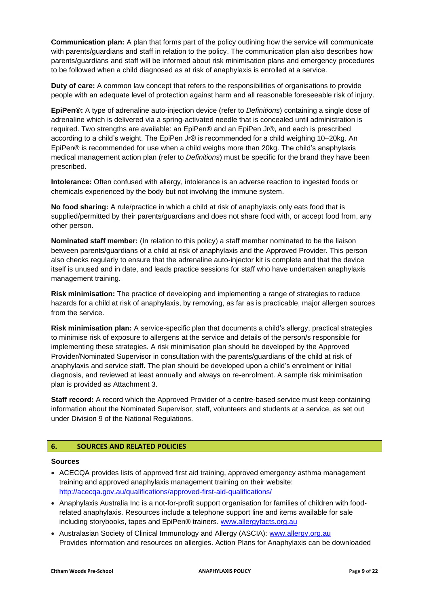**Communication plan:** A plan that forms part of the policy outlining how the service will communicate with parents/guardians and staff in relation to the policy. The communication plan also describes how parents/guardians and staff will be informed about risk minimisation plans and emergency procedures to be followed when a child diagnosed as at risk of anaphylaxis is enrolled at a service.

**Duty of care:** A common law concept that refers to the responsibilities of organisations to provide people with an adequate level of protection against harm and all reasonable foreseeable risk of injury.

**EpiPen®:** A type of adrenaline auto-injection device (refer to *Definitions*) containing a single dose of adrenaline which is delivered via a spring-activated needle that is concealed until administration is required. Two strengths are available: an EpiPen® and an EpiPen Jr®, and each is prescribed according to a child's weight. The EpiPen Jr® is recommended for a child weighing 10–20kg. An EpiPen® is recommended for use when a child weighs more than 20kg. The child's anaphylaxis medical management action plan (refer to *Definitions*) must be specific for the brand they have been prescribed.

**Intolerance:** Often confused with allergy, intolerance is an adverse reaction to ingested foods or chemicals experienced by the body but not involving the immune system.

**No food sharing:** A rule/practice in which a child at risk of anaphylaxis only eats food that is supplied/permitted by their parents/guardians and does not share food with, or accept food from, any other person.

**Nominated staff member:** (In relation to this policy) a staff member nominated to be the liaison between parents/guardians of a child at risk of anaphylaxis and the Approved Provider. This person also checks regularly to ensure that the adrenaline auto-injector kit is complete and that the device itself is unused and in date, and leads practice sessions for staff who have undertaken anaphylaxis management training.

**Risk minimisation:** The practice of developing and implementing a range of strategies to reduce hazards for a child at risk of anaphylaxis, by removing, as far as is practicable, major allergen sources from the service.

**Risk minimisation plan:** A service-specific plan that documents a child's allergy, practical strategies to minimise risk of exposure to allergens at the service and details of the person/s responsible for implementing these strategies. A risk minimisation plan should be developed by the Approved Provider/Nominated Supervisor in consultation with the parents/guardians of the child at risk of anaphylaxis and service staff. The plan should be developed upon a child's enrolment or initial diagnosis, and reviewed at least annually and always on re-enrolment. A sample risk minimisation plan is provided as Attachment 3.

**Staff record:** A record which the Approved Provider of a centre-based service must keep containing information about the Nominated Supervisor, staff, volunteers and students at a service, as set out under Division 9 of the National Regulations.

#### **6. SOURCES AND RELATED POLICIES**

#### **Sources**

- ACECQA provides lists of approved first aid training, approved emergency asthma management training and approved anaphylaxis management training on their website: <http://acecqa.gov.au/qualifications/approved-first-aid-qualifications/>
- Anaphylaxis Australia Inc is a not-for-profit support organisation for families of children with foodrelated anaphylaxis. Resources include a telephone support line and items available for sale including storybooks, tapes and EpiPen® trainers. [www.allergyfacts.org.au](http://www.allergyfacts.org.au/)
- Australasian Society of Clinical Immunology and Allergy (ASCIA): [www.allergy.org.au](http://www.allergy.org.au/) Provides information and resources on allergies. Action Plans for Anaphylaxis can be downloaded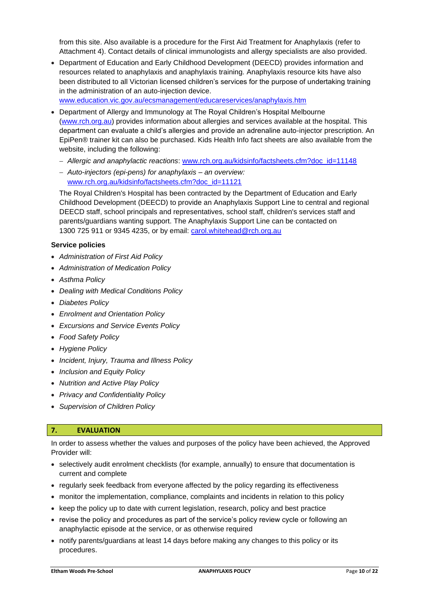from this site. Also available is a procedure for the First Aid Treatment for Anaphylaxis (refer to Attachment 4). Contact details of clinical immunologists and allergy specialists are also provided.

• Department of Education and Early Childhood Development (DEECD) provides information and resources related to anaphylaxis and anaphylaxis training. Anaphylaxis resource kits have also been distributed to all Victorian licensed children's services for the purpose of undertaking training in the administration of an auto-injection device.

[www.education.vic.gov.au/ecsmanagement/educareservices/anaphylaxis.htm](http://www.education.vic.gov.au/ecsmanagement/educareservices/anaphylaxis.htm)

- Department of Allergy and Immunology at The Royal Children's Hospital Melbourne [\(www.rch.org.au\)](http://www.rch.org.au/) provides information about allergies and services available at the hospital. This department can evaluate a child's allergies and provide an adrenaline auto-injector prescription. An EpiPen® trainer kit can also be purchased. Kids Health Info fact sheets are also available from the website, including the following:
	- − *Allergic and anaphylactic reactions*: [www.rch.org.au/kidsinfo/factsheets.cfm?doc\\_id=11148](http://www.rch.org.au/kidsinfo/factsheets.cfm?doc_id=11148)
	- − *Auto-injectors (epi-pens) for anaphylaxis – an overview:*  www.rch.org.au/kidsinfo/factsheets.cfm?doc\_id=11121

The Royal Children's Hospital has been contracted by the Department of Education and Early Childhood Development (DEECD) to provide an Anaphylaxis Support Line to central and regional DEECD staff, school principals and representatives, school staff, children's services staff and parents/guardians wanting support. The Anaphylaxis Support Line can be contacted on 1300 725 911 or 9345 4235, or by email: [carol.whitehead@rch.org.au](mailto:carol.whitehead@rch.org.au)

#### **Service policies**

- *Administration of First Aid Policy*
- *Administration of Medication Policy*
- *Asthma Policy*
- *Dealing with Medical Conditions Policy*
- *Diabetes Policy*
- *Enrolment and Orientation Policy*
- *Excursions and Service Events Policy*
- *Food Safety Policy*
- *Hygiene Policy*
- *Incident, Injury, Trauma and Illness Policy*
- *Inclusion and Equity Policy*
- *Nutrition and Active Play Policy*
- *Privacy and Confidentiality Policy*
- *Supervision of Children Policy*

### **7. EVALUATION**

In order to assess whether the values and purposes of the policy have been achieved, the Approved Provider will:

- selectively audit enrolment checklists (for example, annually) to ensure that documentation is current and complete
- regularly seek feedback from everyone affected by the policy regarding its effectiveness
- monitor the implementation, compliance, complaints and incidents in relation to this policy
- keep the policy up to date with current legislation, research, policy and best practice
- revise the policy and procedures as part of the service's policy review cycle or following an anaphylactic episode at the service, or as otherwise required
- notify parents/guardians at least 14 days before making any changes to this policy or its procedures.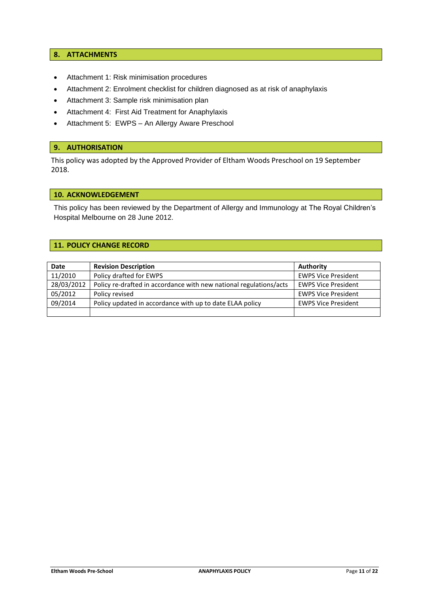#### **8. ATTACHMENTS**

- Attachment 1: Risk minimisation procedures
- Attachment 2: Enrolment checklist for children diagnosed as at risk of anaphylaxis
- Attachment 3: Sample risk minimisation plan
- Attachment 4: First Aid Treatment for Anaphylaxis
- Attachment 5: EWPS An Allergy Aware Preschool

#### **9. AUTHORISATION**

This policy was adopted by the Approved Provider of Eltham Woods Preschool on 19 September 2018.

#### **10. ACKNOWLEDGEMENT**

This policy has been reviewed by the Department of Allergy and Immunology at The Royal Children's Hospital Melbourne on 28 June 2012.

#### **11. POLICY CHANGE RECORD**

| Date       | <b>Revision Description</b>                                        | Authority                  |
|------------|--------------------------------------------------------------------|----------------------------|
| 11/2010    | Policy drafted for EWPS                                            | <b>EWPS Vice President</b> |
| 28/03/2012 | Policy re-drafted in accordance with new national regulations/acts | <b>EWPS Vice President</b> |
| 05/2012    | Policy revised                                                     | <b>EWPS Vice President</b> |
| 09/2014    | Policy updated in accordance with up to date ELAA policy           | <b>EWPS Vice President</b> |
|            |                                                                    |                            |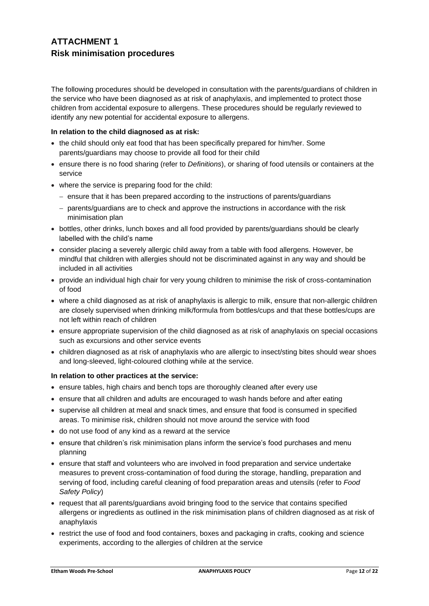# **ATTACHMENT 1 Risk minimisation procedures**

The following procedures should be developed in consultation with the parents/guardians of children in the service who have been diagnosed as at risk of anaphylaxis, and implemented to protect those children from accidental exposure to allergens. These procedures should be regularly reviewed to identify any new potential for accidental exposure to allergens.

#### **In relation to the child diagnosed as at risk:**

- the child should only eat food that has been specifically prepared for him/her. Some parents/guardians may choose to provide all food for their child
- ensure there is no food sharing (refer to *Definitions*), or sharing of food utensils or containers at the service
- where the service is preparing food for the child:
	- − ensure that it has been prepared according to the instructions of parents/guardians
	- − parents/guardians are to check and approve the instructions in accordance with the risk minimisation plan
- bottles, other drinks, lunch boxes and all food provided by parents/guardians should be clearly labelled with the child's name
- consider placing a severely allergic child away from a table with food allergens. However, be mindful that children with allergies should not be discriminated against in any way and should be included in all activities
- provide an individual high chair for very young children to minimise the risk of cross-contamination of food
- where a child diagnosed as at risk of anaphylaxis is allergic to milk, ensure that non-allergic children are closely supervised when drinking milk/formula from bottles/cups and that these bottles/cups are not left within reach of children
- ensure appropriate supervision of the child diagnosed as at risk of anaphylaxis on special occasions such as excursions and other service events
- children diagnosed as at risk of anaphylaxis who are allergic to insect/sting bites should wear shoes and long-sleeved, light-coloured clothing while at the service.

#### **In relation to other practices at the service:**

- ensure tables, high chairs and bench tops are thoroughly cleaned after every use
- ensure that all children and adults are encouraged to wash hands before and after eating
- supervise all children at meal and snack times, and ensure that food is consumed in specified areas. To minimise risk, children should not move around the service with food
- do not use food of any kind as a reward at the service
- ensure that children's risk minimisation plans inform the service's food purchases and menu planning
- ensure that staff and volunteers who are involved in food preparation and service undertake measures to prevent cross-contamination of food during the storage, handling, preparation and serving of food, including careful cleaning of food preparation areas and utensils (refer to *Food Safety Policy*)
- request that all parents/guardians avoid bringing food to the service that contains specified allergens or ingredients as outlined in the risk minimisation plans of children diagnosed as at risk of anaphylaxis
- restrict the use of food and food containers, boxes and packaging in crafts, cooking and science experiments, according to the allergies of children at the service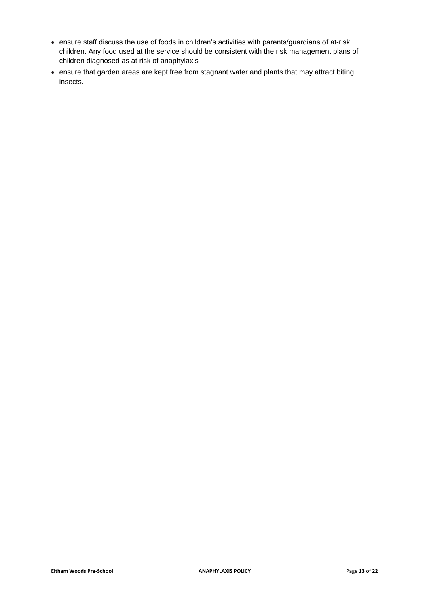- ensure staff discuss the use of foods in children's activities with parents/guardians of at-risk children. Any food used at the service should be consistent with the risk management plans of children diagnosed as at risk of anaphylaxis
- ensure that garden areas are kept free from stagnant water and plants that may attract biting insects.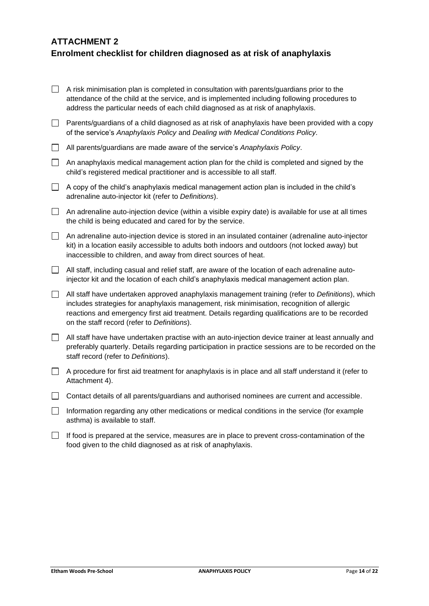# **ATTACHMENT 2 Enrolment checklist for children diagnosed as at risk of anaphylaxis**

|                          | A risk minimisation plan is completed in consultation with parents/guardians prior to the<br>attendance of the child at the service, and is implemented including following procedures to<br>address the particular needs of each child diagnosed as at risk of anaphylaxis.                                                                      |
|--------------------------|---------------------------------------------------------------------------------------------------------------------------------------------------------------------------------------------------------------------------------------------------------------------------------------------------------------------------------------------------|
| $\Box$                   | Parents/guardians of a child diagnosed as at risk of anaphylaxis have been provided with a copy<br>of the service's Anaphylaxis Policy and Dealing with Medical Conditions Policy.                                                                                                                                                                |
| $\Box$                   | All parents/guardians are made aware of the service's Anaphylaxis Policy.                                                                                                                                                                                                                                                                         |
| $\Box$                   | An anaphylaxis medical management action plan for the child is completed and signed by the<br>child's registered medical practitioner and is accessible to all staff.                                                                                                                                                                             |
| $\Box$                   | A copy of the child's anaphylaxis medical management action plan is included in the child's<br>adrenaline auto-injector kit (refer to Definitions).                                                                                                                                                                                               |
| $\Box$                   | An adrenaline auto-injection device (within a visible expiry date) is available for use at all times<br>the child is being educated and cared for by the service.                                                                                                                                                                                 |
| $\Box$                   | An adrenaline auto-injection device is stored in an insulated container (adrenaline auto-injector<br>kit) in a location easily accessible to adults both indoors and outdoors (not locked away) but<br>inaccessible to children, and away from direct sources of heat.                                                                            |
| $\Box$                   | All staff, including casual and relief staff, are aware of the location of each adrenaline auto-<br>injector kit and the location of each child's anaphylaxis medical management action plan.                                                                                                                                                     |
| $\Box$                   | All staff have undertaken approved anaphylaxis management training (refer to Definitions), which<br>includes strategies for anaphylaxis management, risk minimisation, recognition of allergic<br>reactions and emergency first aid treatment. Details regarding qualifications are to be recorded<br>on the staff record (refer to Definitions). |
| $\Box$                   | All staff have have undertaken practise with an auto-injection device trainer at least annually and<br>preferably quarterly. Details regarding participation in practice sessions are to be recorded on the<br>staff record (refer to Definitions).                                                                                               |
| $\Box$                   | A procedure for first aid treatment for anaphylaxis is in place and all staff understand it (refer to<br>Attachment 4).                                                                                                                                                                                                                           |
| $\Box$                   | Contact details of all parents/guardians and authorised nominees are current and accessible.                                                                                                                                                                                                                                                      |
| $\Box$                   | Information regarding any other medications or medical conditions in the service (for example<br>asthma) is available to staff.                                                                                                                                                                                                                   |
| $\overline{\phantom{0}}$ | $\sim$ $\sim$                                                                                                                                                                                                                                                                                                                                     |

 $\Box$  If food is prepared at the service, measures are in place to prevent cross-contamination of the food given to the child diagnosed as at risk of anaphylaxis.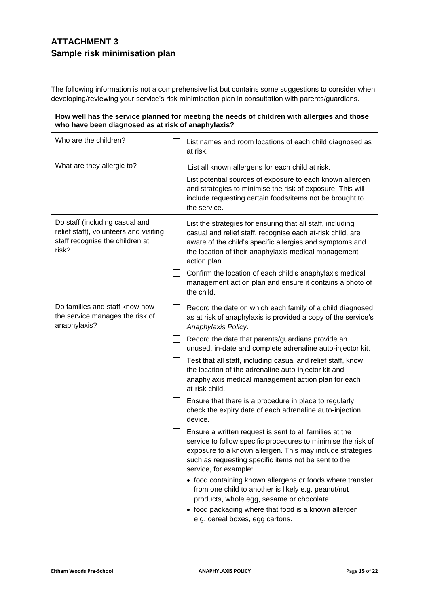# **ATTACHMENT 3 Sample risk minimisation plan**

The following information is not a comprehensive list but contains some suggestions to consider when developing/reviewing your service's risk minimisation plan in consultation with parents/guardians.

| How well has the service planned for meeting the needs of children with allergies and those<br>who have been diagnosed as at risk of anaphylaxis? |              |                                                                                                                                                                                                                                                                        |  |
|---------------------------------------------------------------------------------------------------------------------------------------------------|--------------|------------------------------------------------------------------------------------------------------------------------------------------------------------------------------------------------------------------------------------------------------------------------|--|
| Who are the children?                                                                                                                             |              | List names and room locations of each child diagnosed as<br>at risk.                                                                                                                                                                                                   |  |
| What are they allergic to?                                                                                                                        | $\Box$       | List all known allergens for each child at risk.                                                                                                                                                                                                                       |  |
|                                                                                                                                                   | $\perp$      | List potential sources of exposure to each known allergen<br>and strategies to minimise the risk of exposure. This will<br>include requesting certain foods/items not be brought to<br>the service.                                                                    |  |
| Do staff (including casual and<br>relief staff), volunteers and visiting<br>staff recognise the children at<br>risk?                              | $\Box$       | List the strategies for ensuring that all staff, including<br>casual and relief staff, recognise each at-risk child, are<br>aware of the child's specific allergies and symptoms and<br>the location of their anaphylaxis medical management<br>action plan.           |  |
|                                                                                                                                                   | $\mathsf{L}$ | Confirm the location of each child's anaphylaxis medical<br>management action plan and ensure it contains a photo of<br>the child.                                                                                                                                     |  |
| Do families and staff know how<br>the service manages the risk of<br>anaphylaxis?                                                                 | $\Box$       | Record the date on which each family of a child diagnosed<br>as at risk of anaphylaxis is provided a copy of the service's<br>Anaphylaxis Policy.                                                                                                                      |  |
|                                                                                                                                                   | $\Box$       | Record the date that parents/guardians provide an<br>unused, in-date and complete adrenaline auto-injector kit.                                                                                                                                                        |  |
|                                                                                                                                                   | $\perp$      | Test that all staff, including casual and relief staff, know<br>the location of the adrenaline auto-injector kit and<br>anaphylaxis medical management action plan for each<br>at-risk child.                                                                          |  |
|                                                                                                                                                   |              | Ensure that there is a procedure in place to regularly<br>check the expiry date of each adrenaline auto-injection<br>device.                                                                                                                                           |  |
|                                                                                                                                                   |              | Ensure a written request is sent to all families at the<br>service to follow specific procedures to minimise the risk of<br>exposure to a known allergen. This may include strategies<br>such as requesting specific items not be sent to the<br>service, for example: |  |
|                                                                                                                                                   |              | • food containing known allergens or foods where transfer<br>from one child to another is likely e.g. peanut/nut<br>products, whole egg, sesame or chocolate                                                                                                           |  |
|                                                                                                                                                   |              | • food packaging where that food is a known allergen<br>e.g. cereal boxes, egg cartons.                                                                                                                                                                                |  |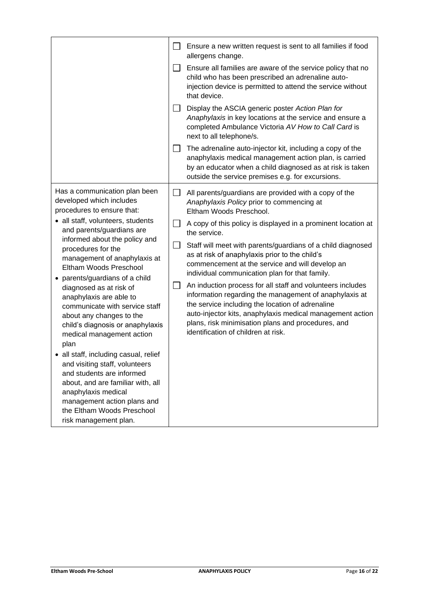|                                                                                                                                                                                                                                                                                                                                                                                                                                                                                                                                                                                                                                                                                                                                                                     | $\Box$<br>$\perp$<br><b>Contract</b><br>⊔  | Ensure a new written request is sent to all families if food<br>allergens change.<br>Ensure all families are aware of the service policy that no<br>child who has been prescribed an adrenaline auto-<br>injection device is permitted to attend the service without<br>that device.<br>Display the ASCIA generic poster Action Plan for<br>Anaphylaxis in key locations at the service and ensure a<br>completed Ambulance Victoria AV How to Call Card is<br>next to all telephone/s.<br>The adrenaline auto-injector kit, including a copy of the<br>anaphylaxis medical management action plan, is carried<br>by an educator when a child diagnosed as at risk is taken<br>outside the service premises e.g. for excursions.                                           |
|---------------------------------------------------------------------------------------------------------------------------------------------------------------------------------------------------------------------------------------------------------------------------------------------------------------------------------------------------------------------------------------------------------------------------------------------------------------------------------------------------------------------------------------------------------------------------------------------------------------------------------------------------------------------------------------------------------------------------------------------------------------------|--------------------------------------------|----------------------------------------------------------------------------------------------------------------------------------------------------------------------------------------------------------------------------------------------------------------------------------------------------------------------------------------------------------------------------------------------------------------------------------------------------------------------------------------------------------------------------------------------------------------------------------------------------------------------------------------------------------------------------------------------------------------------------------------------------------------------------|
| Has a communication plan been<br>developed which includes<br>procedures to ensure that:<br>• all staff, volunteers, students<br>and parents/guardians are<br>informed about the policy and<br>procedures for the<br>management of anaphylaxis at<br>Eltham Woods Preschool<br>• parents/guardians of a child<br>diagnosed as at risk of<br>anaphylaxis are able to<br>communicate with service staff<br>about any changes to the<br>child's diagnosis or anaphylaxis<br>medical management action<br>plan<br>• all staff, including casual, relief<br>and visiting staff, volunteers<br>and students are informed<br>about, and are familiar with, all<br>anaphylaxis medical<br>management action plans and<br>the Eltham Woods Preschool<br>risk management plan. | $\mathbf{L}$<br>$\Box$<br>$\Box$<br>$\Box$ | All parents/guardians are provided with a copy of the<br>Anaphylaxis Policy prior to commencing at<br>Eltham Woods Preschool.<br>A copy of this policy is displayed in a prominent location at<br>the service.<br>Staff will meet with parents/guardians of a child diagnosed<br>as at risk of anaphylaxis prior to the child's<br>commencement at the service and will develop an<br>individual communication plan for that family.<br>An induction process for all staff and volunteers includes<br>information regarding the management of anaphylaxis at<br>the service including the location of adrenaline<br>auto-injector kits, anaphylaxis medical management action<br>plans, risk minimisation plans and procedures, and<br>identification of children at risk. |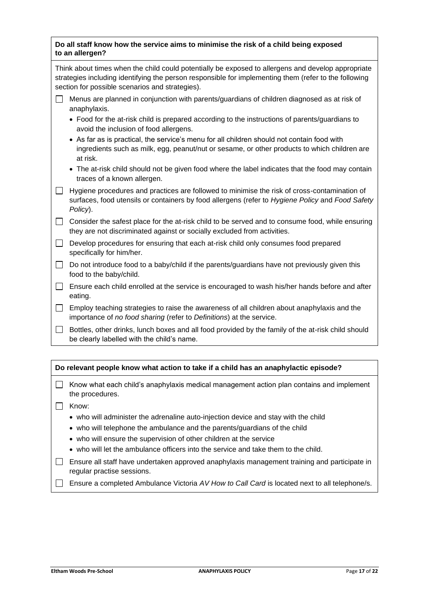| Do all staff know how the service aims to minimise the risk of a child being exposed |
|--------------------------------------------------------------------------------------|
| to an allergen?                                                                      |

| Think about times when the child could potentially be exposed to allergens and develop appropriate    |
|-------------------------------------------------------------------------------------------------------|
| strategies including identifying the person responsible for implementing them (refer to the following |
| section for possible scenarios and strategies).                                                       |

- Menus are planned in conjunction with parents/guardians of children diagnosed as at risk of anaphylaxis.
	- Food for the at-risk child is prepared according to the instructions of parents/guardians to avoid the inclusion of food allergens.
	- As far as is practical, the service's menu for all children should not contain food with ingredients such as milk, egg, peanut/nut or sesame, or other products to which children are at risk.
	- The at-risk child should not be given food where the label indicates that the food may contain traces of a known allergen.
- Hygiene procedures and practices are followed to minimise the risk of cross-contamination of surfaces, food utensils or containers by food allergens (refer to *Hygiene Policy* and *Food Safety Policy*).

 $\Box$  Consider the safest place for the at-risk child to be served and to consume food, while ensuring they are not discriminated against or socially excluded from activities.

- $\Box$  Develop procedures for ensuring that each at-risk child only consumes food prepared specifically for him/her.
- $\Box$  Do not introduce food to a baby/child if the parents/quardians have not previously given this food to the baby/child.
- $\Box$  Ensure each child enrolled at the service is encouraged to wash his/her hands before and after eating.
- $\Box$  Employ teaching strategies to raise the awareness of all children about anaphylaxis and the importance of *no food sharing* (refer to *Definitions*) at the service.
- $\Box$  Bottles, other drinks, lunch boxes and all food provided by the family of the at-risk child should be clearly labelled with the child's name.

#### **Do relevant people know what action to take if a child has an anaphylactic episode?**

- $\Box$  Know what each child's anaphylaxis medical management action plan contains and implement the procedures.
- □ Know:
	- who will administer the adrenaline auto-injection device and stay with the child
	- who will telephone the ambulance and the parents/guardians of the child
	- who will ensure the supervision of other children at the service
	- who will let the ambulance officers into the service and take them to the child.
- $\Box$  Ensure all staff have undertaken approved anaphylaxis management training and participate in regular practise sessions.
- Ensure a completed Ambulance Victoria *AV How to Call Card* is located next to all telephone/s.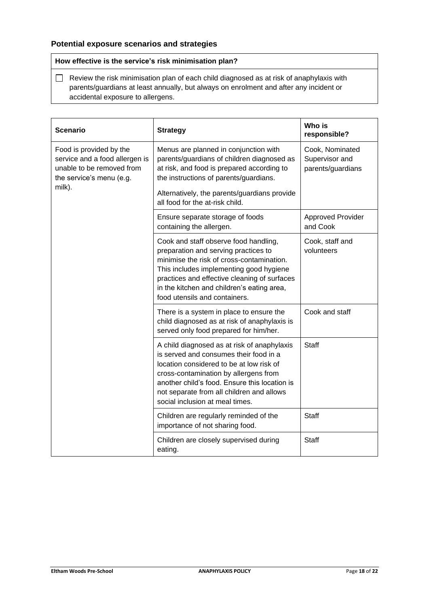## **Potential exposure scenarios and strategies**

**How effective is the service's risk minimisation plan?**

 $\Box$  Review the risk minimisation plan of each child diagnosed as at risk of anaphylaxis with parents/guardians at least annually, but always on enrolment and after any incident or accidental exposure to allergens.

| <b>Scenario</b>                                                                                                              | <b>Strategy</b>                                                                                                                                                                                                                                                                                             | Who is<br>responsible?                                 |
|------------------------------------------------------------------------------------------------------------------------------|-------------------------------------------------------------------------------------------------------------------------------------------------------------------------------------------------------------------------------------------------------------------------------------------------------------|--------------------------------------------------------|
| Food is provided by the<br>service and a food allergen is<br>unable to be removed from<br>the service's menu (e.g.<br>milk). | Menus are planned in conjunction with<br>parents/guardians of children diagnosed as<br>at risk, and food is prepared according to<br>the instructions of parents/guardians.<br>Alternatively, the parents/guardians provide                                                                                 | Cook, Nominated<br>Supervisor and<br>parents/guardians |
|                                                                                                                              | all food for the at-risk child.                                                                                                                                                                                                                                                                             |                                                        |
|                                                                                                                              | Ensure separate storage of foods<br>containing the allergen.                                                                                                                                                                                                                                                | <b>Approved Provider</b><br>and Cook                   |
|                                                                                                                              | Cook and staff observe food handling,<br>preparation and serving practices to<br>minimise the risk of cross-contamination.<br>This includes implementing good hygiene<br>practices and effective cleaning of surfaces<br>in the kitchen and children's eating area,<br>food utensils and containers.        | Cook, staff and<br>volunteers                          |
|                                                                                                                              | There is a system in place to ensure the<br>child diagnosed as at risk of anaphylaxis is<br>served only food prepared for him/her.                                                                                                                                                                          | Cook and staff                                         |
|                                                                                                                              | A child diagnosed as at risk of anaphylaxis<br>is served and consumes their food in a<br>location considered to be at low risk of<br>cross-contamination by allergens from<br>another child's food. Ensure this location is<br>not separate from all children and allows<br>social inclusion at meal times. | <b>Staff</b>                                           |
|                                                                                                                              | Children are regularly reminded of the<br>importance of not sharing food.                                                                                                                                                                                                                                   | <b>Staff</b>                                           |
|                                                                                                                              | Children are closely supervised during<br>eating.                                                                                                                                                                                                                                                           | <b>Staff</b>                                           |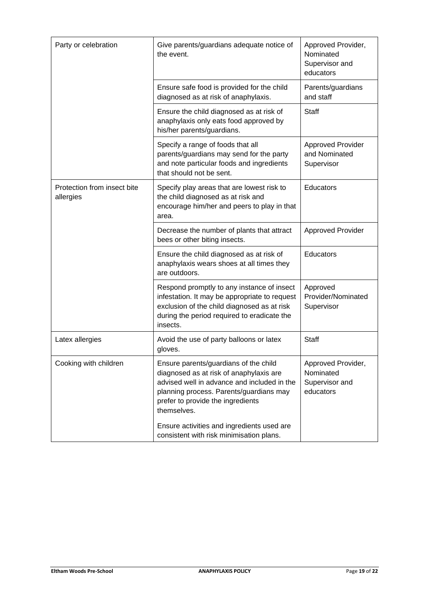| Party or celebration                     | Give parents/guardians adequate notice of<br>the event.                                                                                                                                                                                                                      | Approved Provider,<br>Nominated<br>Supervisor and<br>educators |
|------------------------------------------|------------------------------------------------------------------------------------------------------------------------------------------------------------------------------------------------------------------------------------------------------------------------------|----------------------------------------------------------------|
|                                          | Ensure safe food is provided for the child<br>diagnosed as at risk of anaphylaxis.                                                                                                                                                                                           | Parents/guardians<br>and staff                                 |
|                                          | Ensure the child diagnosed as at risk of<br>anaphylaxis only eats food approved by<br>his/her parents/guardians.                                                                                                                                                             | Staff                                                          |
|                                          | Specify a range of foods that all<br>parents/guardians may send for the party<br>and note particular foods and ingredients<br>that should not be sent.                                                                                                                       | <b>Approved Provider</b><br>and Nominated<br>Supervisor        |
| Protection from insect bite<br>allergies | Specify play areas that are lowest risk to<br>the child diagnosed as at risk and<br>encourage him/her and peers to play in that<br>area.                                                                                                                                     | Educators                                                      |
|                                          | Decrease the number of plants that attract<br>bees or other biting insects.                                                                                                                                                                                                  | <b>Approved Provider</b>                                       |
|                                          | Ensure the child diagnosed as at risk of<br>anaphylaxis wears shoes at all times they<br>are outdoors.                                                                                                                                                                       | Educators                                                      |
|                                          | Respond promptly to any instance of insect<br>infestation. It may be appropriate to request<br>exclusion of the child diagnosed as at risk<br>during the period required to eradicate the<br>insects.                                                                        | Approved<br>Provider/Nominated<br>Supervisor                   |
| Latex allergies                          | Avoid the use of party balloons or latex<br>gloves.                                                                                                                                                                                                                          | <b>Staff</b>                                                   |
| Cooking with children                    | Ensure parents/guardians of the child<br>diagnosed as at risk of anaphylaxis are<br>advised well in advance and included in the<br>planning process. Parents/guardians may<br>prefer to provide the ingredients<br>themselves.<br>Ensure activities and ingredients used are | Approved Provider,<br>Nominated<br>Supervisor and<br>educators |
|                                          | consistent with risk minimisation plans.                                                                                                                                                                                                                                     |                                                                |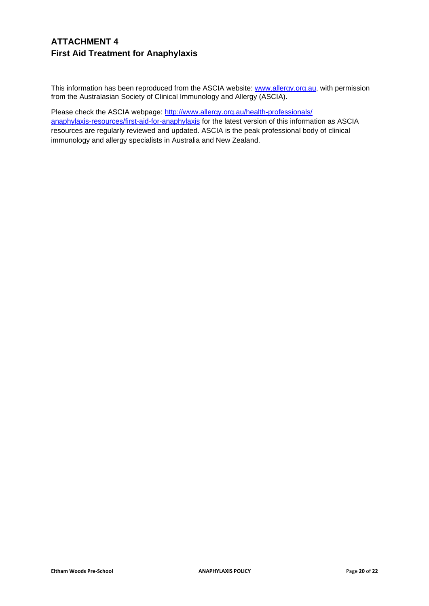# **ATTACHMENT 4 First Aid Treatment for Anaphylaxis**

This information has been reproduced from the ASCIA website: [www.allergy.org.au,](http://www.allergy.org.au/) with permission from the Australasian Society of Clinical Immunology and Allergy (ASCIA).

Please check the ASCIA webpage: [http://www.allergy.org.au/health-professionals/](http://www.allergy.org.au/health-professionals/anaphylaxis-resources/first-aid-for-anaphylaxis) [anaphylaxis-resources/first-aid-for-anaphylaxis](http://www.allergy.org.au/health-professionals/anaphylaxis-resources/first-aid-for-anaphylaxis) for the latest version of this information as ASCIA resources are regularly reviewed and updated. ASCIA is the peak professional body of clinical immunology and allergy specialists in Australia and New Zealand.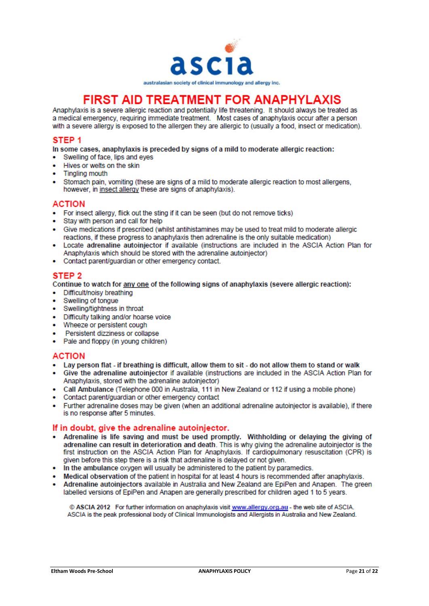

# **FIRST AID TREATMENT FOR ANAPHYLAXIS**

Anaphylaxis is a severe allergic reaction and potentially life threatening. It should always be treated as a medical emergency, requiring immediate treatment. Most cases of anaphylaxis occur after a person with a severe allergy is exposed to the allergen they are allergic to (usually a food, insect or medication).

### STEP<sub>1</sub>

In some cases, anaphylaxis is preceded by signs of a mild to moderate allergic reaction:

- Swelling of face, lips and eyes  $\bullet$
- Hives or welts on the skin
- **Tingling mouth**
- Stomach pain, vomiting (these are signs of a mild to moderate allergic reaction to most allergens. however, in insect allergy these are signs of anaphylaxis).

#### **ACTION**

- For insect allergy, flick out the sting if it can be seen (but do not remove ticks)
- Stay with person and call for help
- Give medications if prescribed (whilst antihistamines may be used to treat mild to moderate allergic reactions, if these progress to anaphylaxis then adrenaline is the only suitable medication)
- Locate adrenaline autoiniector if available (instructions are included in the ASCIA Action Plan for Anaphylaxis which should be stored with the adrenaline autoiniector)
- Contact parent/quardian or other emergency contact.

### STEP<sub>2</sub>

Continue to watch for any one of the following signs of anaphylaxis (severe allergic reaction):

- Difficult/noisy breathing
- Swelling of tongue
- Swelling/tightness in throat
- Difficulty talking and/or hoarse voice
- Wheeze or persistent cough
- Persistent dizziness or collapse
- Pale and floppy (in young children)

#### **ACTION**

- Lay person flat if breathing is difficult, allow them to sit do not allow them to stand or walk
- Give the adrenaline autoinjector if available (instructions are included in the ASCIA Action Plan for Anaphylaxis, stored with the adrenaline autoinjector)
- . Call Ambulance (Telephone 000 in Australia, 111 in New Zealand or 112 if using a mobile phone)
- Contact parent/guardian or other emergency contact
- Further adrenaline doses may be given (when an additional adrenaline autoinjector is available), if there is no response after 5 minutes.

## If in doubt, give the adrenaline autoinjector.

- Adrenaline is life saving and must be used promptly. Withholding or delaying the giving of adrenaline can result in deterioration and death. This is why giving the adrenaline autoiniector is the first instruction on the ASCIA Action Plan for Anaphylaxis. If cardiopulmonary resuscitation (CPR) is given before this step there is a risk that adrenaline is delayed or not given.
- In the ambulance oxygen will usually be administered to the patient by paramedics.
- Medical observation of the patient in hospital for at least 4 hours is recommended after anaphylaxis.
- Adrenaline autoinjectors available in Australia and New Zealand are EpiPen and Anapen. The green labelled versions of EpiPen and Anapen are generally prescribed for children aged 1 to 5 years.

© ASCIA 2012 For further information on anaphylaxis visit www.allergy.org.au - the web site of ASCIA. ASCIA is the peak professional body of Clinical Immunologists and Allergists in Australia and New Zealand.